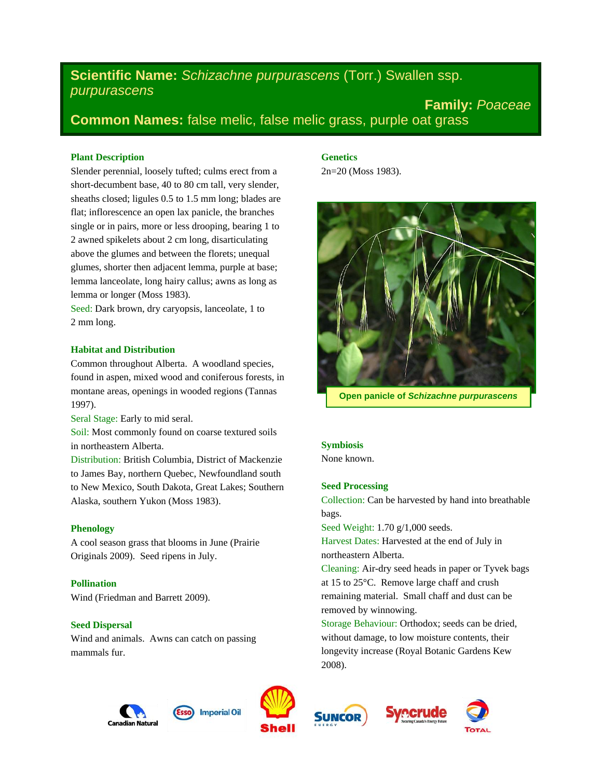# **Scientific Name:** *Schizachne purpurascens* (Torr.) Swallen ssp. *purpurascens*

**Family:** *Poaceae* **Common Names:** false melic, false melic grass, purple oat grass

# **Plant Description**

Slender perennial, loosely tufted; culms erect from a short-decumbent base, 40 to 80 cm tall, very slender, sheaths closed; ligules 0.5 to 1.5 mm long; blades are flat; inflorescence an open lax panicle, the branches single or in pairs, more or less drooping, bearing 1 to 2 awned spikelets about 2 cm long, disarticulating above the glumes and between the florets; unequal glumes, shorter then adjacent lemma, purple at base; lemma lanceolate, long hairy callus; awns as long as lemma or longer (Moss 1983).

Seed: Dark brown, dry caryopsis, lanceolate, 1 to 2 mm long.

## **Habitat and Distribution**

Common throughout Alberta. A woodland species, found in aspen, mixed wood and coniferous forests, in montane areas, openings in wooded regions (Tannas 1997).

Seral Stage: Early to mid seral.

Soil: Most commonly found on coarse textured soils in northeastern Alberta.

Distribution: British Columbia, District of Mackenzie to James Bay, northern Quebec, Newfoundland south to New Mexico, South Dakota, Great Lakes; Southern Alaska, southern Yukon (Moss 1983).

## **Phenology**

A cool season grass that blooms in June (Prairie Originals 2009). Seed ripens in July.

**Pollination** Wind (Friedman and Barrett 2009).

## **Seed Dispersal**

Wind and animals. Awns can catch on passing mammals fur.

# **Genetics**

2n=20 (Moss 1983).



**Open panicle of** *Schizachne purpurascens*

## **Symbiosis**

None known.

## **Seed Processing**

Collection: Can be harvested by hand into breathable bags.

Seed Weight: 1.70 g/1,000 seeds.

Harvest Dates: Harvested at the end of July in northeastern Alberta.

Cleaning: Air-dry seed heads in paper or Tyvek bags at 15 to 25°C. Remove large chaff and crush remaining material. Small chaff and dust can be removed by winnowing.

Storage Behaviour: Orthodox; seeds can be dried, without damage, to low moisture contents, their longevity increase (Royal Botanic Gardens Kew 2008).







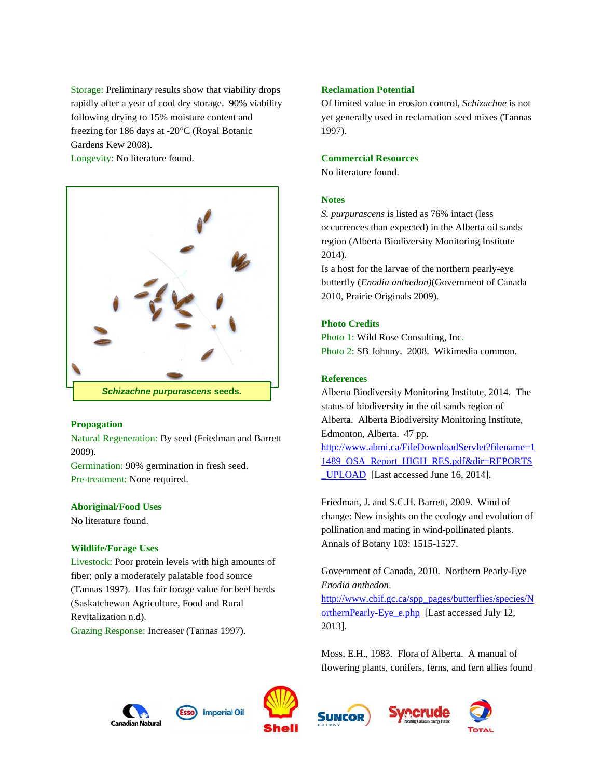Storage: Preliminary results show that viability drops rapidly after a year of cool dry storage. 90% viability following drying to 15% moisture content and freezing for 186 days at -20°C (Royal Botanic Gardens Kew 2008).

Longevity: No literature found.



## **Propagation**

Natural Regeneration: By seed (Friedman and Barrett 2009).

Germination: 90% germination in fresh seed. Pre-treatment: None required.

## **Aboriginal/Food Uses**

No literature found.

## **Wildlife/Forage Uses**

Livestock: Poor protein levels with high amounts of fiber; only a moderately palatable food source (Tannas 1997). Has fair forage value for beef herds (Saskatchewan Agriculture, Food and Rural Revitalization n.d). Grazing Response: Increaser (Tannas 1997).

## **Reclamation Potential**

Of limited value in erosion control, *Schizachne* is not yet generally used in reclamation seed mixes (Tannas 1997).

#### **Commercial Resources**

No literature found.

## **Notes**

*S. purpurascens* is listed as 76% intact (less occurrences than expected) in the Alberta oil sands region (Alberta Biodiversity Monitoring Institute 2014).

Is a host for the larvae of the northern pearly-eye butterfly (*Enodia anthedon)*(Government of Canada 2010, Prairie Originals 2009)*.*

## **Photo Credits**

Photo 1: Wild Rose Consulting, Inc. Photo 2: SB Johnny. 2008. Wikimedia common.

## **References**

Alberta Biodiversity Monitoring Institute, 2014. The status of biodiversity in the oil sands region of Alberta. Alberta Biodiversity Monitoring Institute, Edmonton, Alberta. 47 pp. [http://www.abmi.ca/FileDownloadServlet?filename=1](http://www.abmi.ca/FileDownloadServlet?filename=11489_OSA_Report_HIGH_RES.pdf&dir=REPORTS_UPLOAD) [1489\\_OSA\\_Report\\_HIGH\\_RES.pdf&dir=REPORTS](http://www.abmi.ca/FileDownloadServlet?filename=11489_OSA_Report_HIGH_RES.pdf&dir=REPORTS_UPLOAD) [\\_UPLOAD](http://www.abmi.ca/FileDownloadServlet?filename=11489_OSA_Report_HIGH_RES.pdf&dir=REPORTS_UPLOAD) [Last accessed June 16, 2014].

Friedman, J. and S.C.H. Barrett, 2009. Wind of change: New insights on the ecology and evolution of pollination and mating in wind-pollinated plants. Annals of Botany 103: 1515-1527.

Government of Canada, 2010. Northern Pearly-Eye *Enodia anthedon*.

[http://www.cbif.gc.ca/spp\\_pages/butterflies/species/N](http://www.cbif.gc.ca/spp_pages/butterflies/species/NorthernPearly-Eye_e.php) [orthernPearly-Eye\\_e.php](http://www.cbif.gc.ca/spp_pages/butterflies/species/NorthernPearly-Eye_e.php) [Last accessed July 12, 2013].

Moss, E.H., 1983. Flora of Alberta. A manual of flowering plants, conifers, ferns, and fern allies found









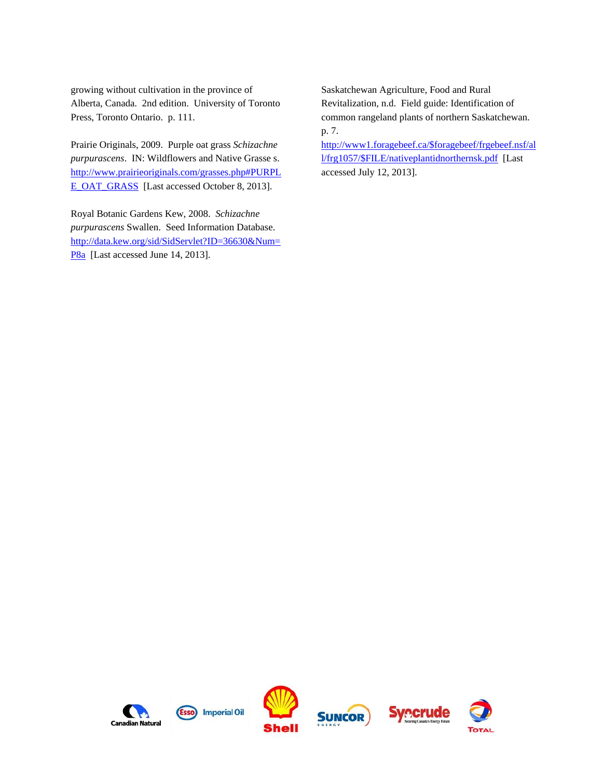growing without cultivation in the province of Alberta, Canada. 2nd edition. University of Toronto Press, Toronto Ontario. p. 111.

Prairie Originals, 2009. Purple oat grass *Schizachne purpurascens*. IN: Wildflowers and Native Grasse s. [http://www.prairieoriginals.com/grasses.php#PURPL](http://www.prairieoriginals.com/grasses.php#PURPLE_OAT_GRASS) [E\\_OAT\\_GRASS](http://www.prairieoriginals.com/grasses.php#PURPLE_OAT_GRASS) [Last accessed October 8, 2013].

Royal Botanic Gardens Kew, 2008. *Schizachne purpurascens* Swallen. Seed Information Database. [http://data.kew.org/sid/SidServlet?ID=36630&Num=](http://data.kew.org/sid/SidServlet?ID=36630&Num=P8a) [P8a](http://data.kew.org/sid/SidServlet?ID=36630&Num=P8a) [Last accessed June 14, 2013].

Saskatchewan Agriculture, Food and Rural Revitalization, n.d. Field guide: Identification of common rangeland plants of northern Saskatchewan. p. 7.

[http://www1.foragebeef.ca/\\$foragebeef/frgebeef.nsf/al](http://www1.foragebeef.ca/$foragebeef/frgebeef.nsf/all/frg1057/$FILE/nativeplantidnorthernsk.pdf) [l/frg1057/\\$FILE/nativeplantidnorthernsk.pdf](http://www1.foragebeef.ca/$foragebeef/frgebeef.nsf/all/frg1057/$FILE/nativeplantidnorthernsk.pdf) [Last accessed July 12, 2013].